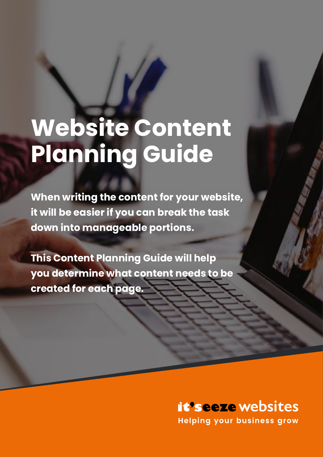# **Website Content Planning Guide**

**When writing the content for your website, it will be easier if you can break the task down into manageable portions.**

**This Content Planning Guide will help you determine what content needs to be created for each page.**

# *it'seeze* websites

**Helping your business grow**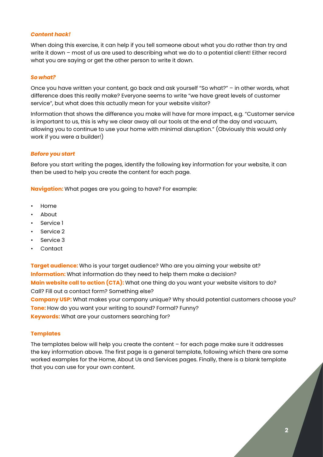#### *Content hack!*

When doing this exercise, it can help if you tell someone about what you do rather than try and write it down – most of us are used to describing what we do to a potential client! Either record what you are saying or get the other person to write it down.

#### *So what?*

Once you have written your content, go back and ask yourself "So what?" – in other words, what difference does this really make? Everyone seems to write "we have great levels of customer service", but what does this actually mean for your website visitor?

Information that shows the difference you make will have far more impact, e.g. "Customer service is important to us, this is why we clear away all our tools at the end of the day and vacuum, allowing you to continue to use your home with minimal disruption." (Obviously this would only work if you were a builder!)

#### *Before you start*

Before you start writing the pages, identify the following key information for your website, it can then be used to help you create the content for each page.

**Navigation:** What pages are you going to have? For example:

- Home
- About
- Service 1
- Service 2
- Service 3
- Contact

**Target audience:** Who is your target audience? Who are you aiming your website at? **Information:** What information do they need to help them make a decision? **Main website call to action (CTA):** What one thing do you want your website visitors to do? Call? Fill out a contact form? Something else? **Company USP:** What makes your company unique? Why should potential customers choose you? **Tone:** How do you want your writing to sound? Formal? Funny?

**Keywords:** What are your customers searching for?

#### **Templates**

The templates below will help you create the content – for each page make sure it addresses the key information above. The first page is a general template, following which there are some worked examples for the Home, About Us and Services pages. Finally, there is a blank template that you can use for your own content.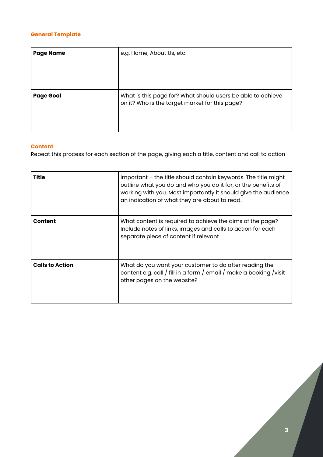# **General Template**

| <b>Page Name</b> | e.g. Home, About Us, etc.                                                                                     |
|------------------|---------------------------------------------------------------------------------------------------------------|
| <b>Page Goal</b> | What is this page for? What should users be able to achieve<br>on it? Who is the target market for this page? |

#### **Content**

Repeat this process for each section of the page, giving each a title, content and call to action

| Title                  | Important - the title should contain keywords. The title might<br>outline what you do and who you do it for, or the benefits of<br>working with you. Most importantly it should give the audience<br>an indication of what they are about to read. |  |
|------------------------|----------------------------------------------------------------------------------------------------------------------------------------------------------------------------------------------------------------------------------------------------|--|
| <b>Content</b>         | What content is required to achieve the aims of the page?<br>Include notes of links, images and calls to action for each<br>separate piece of content if relevant.                                                                                 |  |
| <b>Calls to Action</b> | What do you want your customer to do after reading the<br>content e.g. call / fill in a form / email / make a booking / visit<br>other pages on the website?                                                                                       |  |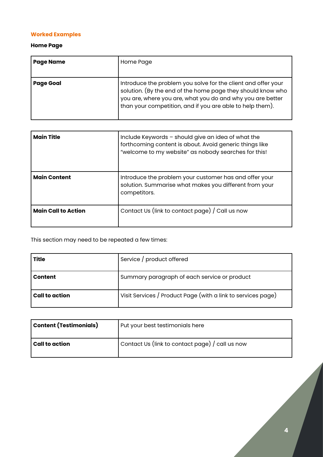# **Worked Examples**

# **Home Page**

| <b>Page Name</b> | Home Page                                                                                                                                                                                                                                               |
|------------------|---------------------------------------------------------------------------------------------------------------------------------------------------------------------------------------------------------------------------------------------------------|
| <b>Page Goal</b> | Introduce the problem you solve for the client and offer your<br>solution. (By the end of the home page they should know who<br>you are, where you are, what you do and why you are better<br>than your competition, and if you are able to help them). |

| <b>Main Title</b>          | Include Keywords - should give an idea of what the<br>forthcoming content is about. Avoid generic things like<br>"welcome to my website" as nobody searches for this! |  |
|----------------------------|-----------------------------------------------------------------------------------------------------------------------------------------------------------------------|--|
| <b>Main Content</b>        | Introduce the problem your customer has and offer your<br>solution. Summarise what makes you different from your<br>competitors.                                      |  |
| <b>Main Call to Action</b> | Contact Us (link to contact page) / Call us now                                                                                                                       |  |

This section may need to be repeated a few times:

| Title          | Service / product offered                                    |  |
|----------------|--------------------------------------------------------------|--|
| <b>Content</b> | Summary paragraph of each service or product                 |  |
| Call to action | Visit Services / Product Page (with a link to services page) |  |

| Content (Testimonials) | Put your best testimonials here                        |  |
|------------------------|--------------------------------------------------------|--|
| <b>Call to action</b>  | Contact Us (link to contact page) $\prime$ call us now |  |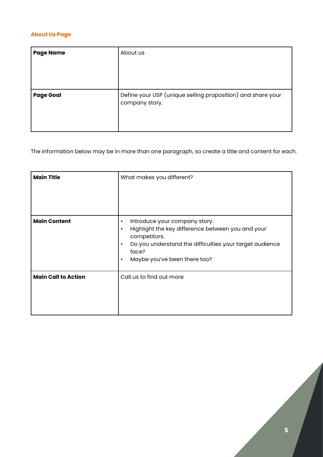# **About Us Page**

| <b>Page Name</b> | About us                                                                      |
|------------------|-------------------------------------------------------------------------------|
| <b>Page Goal</b> | Define your USP (unique selling proposition) and share your<br>company story. |

The information below may be in more than one paragraph, so create a title and content for each.

| <b>Main Title</b>          | What makes you different?                                                                                                                                                                                                                                  |
|----------------------------|------------------------------------------------------------------------------------------------------------------------------------------------------------------------------------------------------------------------------------------------------------|
| <b>Main Content</b>        | Introduce your company story.<br>$\bullet$<br>Highlight the key difference between you and your<br>$\bullet$<br>competitors.<br>Do you understand the difficulties your target audience<br>$\bullet$<br>face?<br>Maybe you've been there too?<br>$\bullet$ |
| <b>Main Call to Action</b> | Call us to find out more                                                                                                                                                                                                                                   |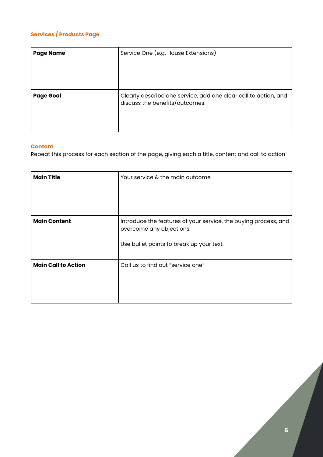# **Services / Products Page**

| <b>Page Name</b> | Service One (e.g. House Extensions)                                                               |  |
|------------------|---------------------------------------------------------------------------------------------------|--|
| <b>Page Goal</b> | Clearly describe one service, add one clear call to action, and<br>discuss the benefits/outcomes. |  |

### **Content**

Repeat this process for each section of the page, giving each a title, content and call to action

| <b>Main Title</b>          | Your service & the main outcome                                                                                                         |
|----------------------------|-----------------------------------------------------------------------------------------------------------------------------------------|
| <b>Main Content</b>        | Introduce the features of your service, the buying process, and<br>overcome any objections.<br>Use bullet points to break up your text. |
| <b>Main Call to Action</b> | Call us to find out "service one"                                                                                                       |